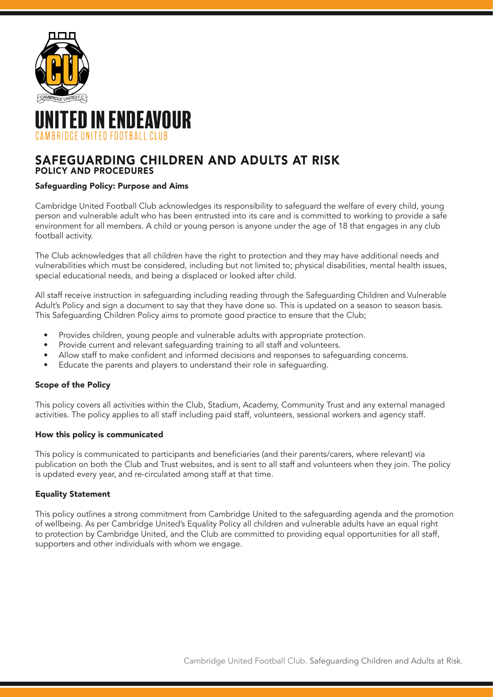

# TED IN ENDEAVOUR CAMBRIDGE UNITED FOOTBALL CLUB

# SAFEGUARDING CHILDREN AND ADULTS AT RISK POLICY AND PROCEDURES

## Safeguarding Policy: Purpose and Aims

Cambridge United Football Club acknowledges its responsibility to safeguard the welfare of every child, young person and vulnerable adult who has been entrusted into its care and is committed to working to provide a safe environment for all members. A child or young person is anyone under the age of 18 that engages in any club football activity.

The Club acknowledges that all children have the right to protection and they may have additional needs and vulnerabilities which must be considered, including but not limited to; physical disabilities, mental health issues, special educational needs, and being a displaced or looked after child.

All staff receive instruction in safeguarding including reading through the Safeguarding Children and Vulnerable Adult's Policy and sign a document to say that they have done so. This is updated on a season to season basis. This Safeguarding Children Policy aims to promote good practice to ensure that the Club;

- Provides children, young people and vulnerable adults with appropriate protection.
- Provide current and relevant safeguarding training to all staff and volunteers.
- Allow staff to make confident and informed decisions and responses to safeguarding concerns.
- Educate the parents and players to understand their role in safeguarding.

## Scope of the Policy

This policy covers all activities within the Club, Stadium, Academy, Community Trust and any external managed activities. The policy applies to all staff including paid staff, volunteers, sessional workers and agency staff.

## How this policy is communicated

This policy is communicated to participants and beneficiaries (and their parents/carers, where relevant) via publication on both the Club and Trust websites, and is sent to all staff and volunteers when they join. The policy is updated every year, and re-circulated among staff at that time.

## Equality Statement

This policy outlines a strong commitment from Cambridge United to the safeguarding agenda and the promotion of wellbeing. As per Cambridge United's Equality Policy all children and vulnerable adults have an equal right to protection by Cambridge United, and the Club are committed to providing equal opportunities for all staff, supporters and other individuals with whom we engage.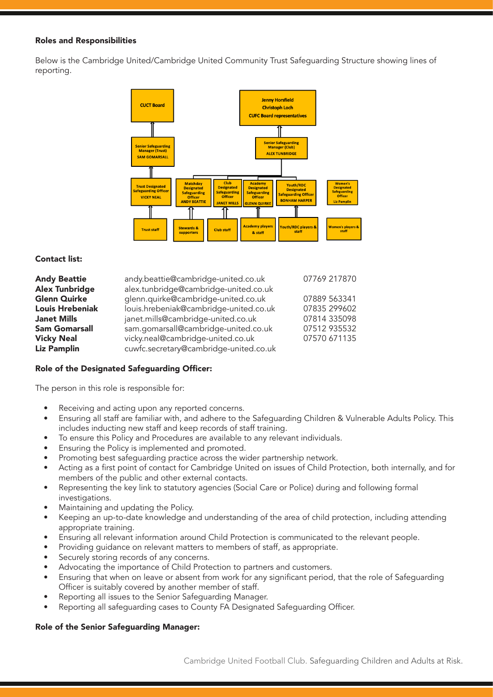#### Roles and Responsibilities

Below is the Cambridge United/Cambridge United Community Trust Safeguarding Structure showing lines of reporting.



#### Contact list:

| <b>Andy Beattie</b>    | andy.beattie@cambridge-united.co.uk    | 07769 217870 |
|------------------------|----------------------------------------|--------------|
| <b>Alex Tunbridge</b>  | alex.tunbridge@cambridge-united.co.uk  |              |
| Glenn Quirke           | glenn.quirke@cambridge-united.co.uk    | 07889 563341 |
| <b>Louis Hrebeniak</b> | louis.hrebeniak@cambridge-united.co.uk | 07835 299602 |
| <b>Janet Mills</b>     | janet.mills@cambridge-united.co.uk     | 07814 335098 |
| <b>Sam Gomarsall</b>   | sam.gomarsall@cambridge-united.co.uk   | 07512 935532 |
| <b>Vicky Neal</b>      | vicky.neal@cambridge-united.co.uk      | 07570 671135 |
| <b>Liz Pamplin</b>     | cuwfc.secretary@cambridge-united.co.uk |              |

## Role of the Designated Safeguarding Officer:

The person in this role is responsible for:

- Receiving and acting upon any reported concerns.
- Ensuring all staff are familiar with, and adhere to the Safeguarding Children & Vulnerable Adults Policy. This includes inducting new staff and keep records of staff training.
- To ensure this Policy and Procedures are available to any relevant individuals.
- Ensuring the Policy is implemented and promoted.
- Promoting best safeguarding practice across the wider partnership network.
- Acting as a first point of contact for Cambridge United on issues of Child Protection, both internally, and for members of the public and other external contacts.
- Representing the key link to statutory agencies (Social Care or Police) during and following formal investigations.
- Maintaining and updating the Policy.
- Keeping an up-to-date knowledge and understanding of the area of child protection, including attending appropriate training.
- Ensuring all relevant information around Child Protection is communicated to the relevant people.
- Providing guidance on relevant matters to members of staff, as appropriate.
- Securely storing records of any concerns.
- Advocating the importance of Child Protection to partners and customers.
- Ensuring that when on leave or absent from work for any significant period, that the role of Safeguarding Officer is suitably covered by another member of staff.
- Reporting all issues to the Senior Safeguarding Manager.
- Reporting all safeguarding cases to County FA Designated Safeguarding Officer.

## Role of the Senior Safeguarding Manager: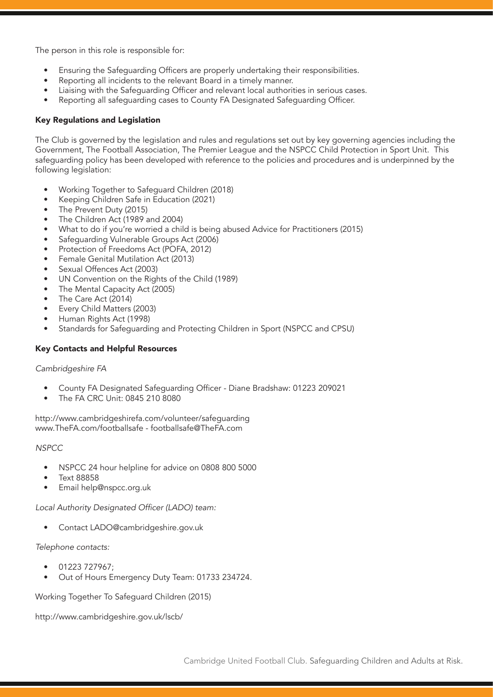The person in this role is responsible for:

- Ensuring the Safeguarding Officers are properly undertaking their responsibilities.
- Reporting all incidents to the relevant Board in a timely manner.
- Liaising with the Safeguarding Officer and relevant local authorities in serious cases.
- Reporting all safeguarding cases to County FA Designated Safeguarding Officer.

#### Key Regulations and Legislation

The Club is governed by the legislation and rules and regulations set out by key governing agencies including the Government, The Football Association, The Premier League and the NSPCC Child Protection in Sport Unit. This safeguarding policy has been developed with reference to the policies and procedures and is underpinned by the following legislation:

- Working Together to Safeguard Children (2018)
- Keeping Children Safe in Education (2021)
- The Prevent Duty (2015)
- The Children Act (1989 and 2004)
- What to do if you're worried a child is being abused Advice for Practitioners (2015)
- Safeguarding Vulnerable Groups Act (2006)
- Protection of Freedoms Act (POFA, 2012)
- Female Genital Mutilation Act (2013)
- Sexual Offences Act (2003)
- UN Convention on the Rights of the Child (1989)
- The Mental Capacity Act (2005)
- The Care Act (2014)
- Every Child Matters (2003)
- Human Rights Act (1998)
- Standards for Safeguarding and Protecting Children in Sport (NSPCC and CPSU)

#### Key Contacts and Helpful Resources

#### *Cambridgeshire FA*

- County FA Designated Safeguarding Officer Diane Bradshaw: 01223 209021
- The FA CRC Unit: 0845 210 8080

http://www.cambridgeshirefa.com/volunteer/safeguarding www.TheFA.com/footballsafe - footballsafe@TheFA.com

#### *NSPCC*

- NSPCC 24 hour helpline for advice on 0808 800 5000
- Text 88858
- Email help@nspcc.org.uk

Local Authority Designated Officer (LADO) team:

• Contact LADO@cambridgeshire.gov.uk

#### Telephone contacts:

- 01223 727967;
- Out of Hours Emergency Duty Team: 01733 234724.

Working Together To Safeguard Children (2015)

http://www.cambridgeshire.gov.uk/lscb/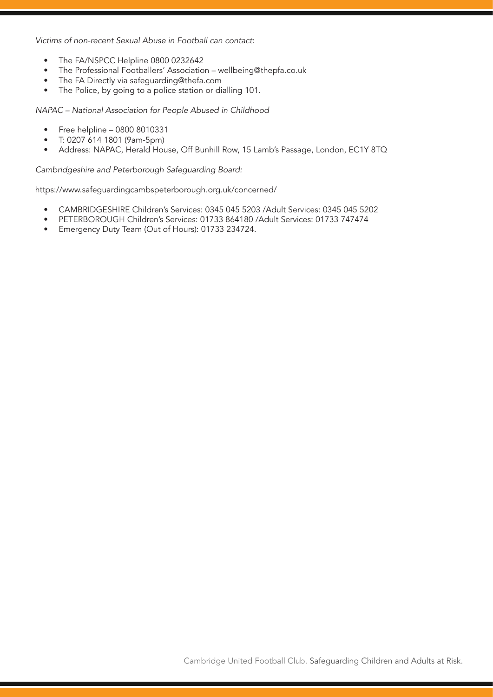*Victims of non-recent Sexual Abuse in Football can contact*:

- The FA/NSPCC Helpline 0800 0232642
- The Professional Footballers' Association wellbeing@thepfa.co.uk
- The FA Directly via safeguarding@thefa.com
- The Police, by going to a police station or dialling 101.

*NAPAC – National Association for People Abused in Childhood* 

- Free helpline 0800 8010331
- T: 0207 614 1801 (9am-5pm)
- Address: NAPAC, Herald House, Off Bunhill Row, 15 Lamb's Passage, London, EC1Y 8TQ

Cambridgeshire and Peterborough Safeguarding Board:

https://www.safeguardingcambspeterborough.org.uk/concerned/

- CAMBRIDGESHIRE Children's Services: 0345 045 5203 /Adult Services: 0345 045 5202
- PETERBOROUGH Children's Services: 01733 864180 /Adult Services: 01733 747474
- Emergency Duty Team (Out of Hours): 01733 234724.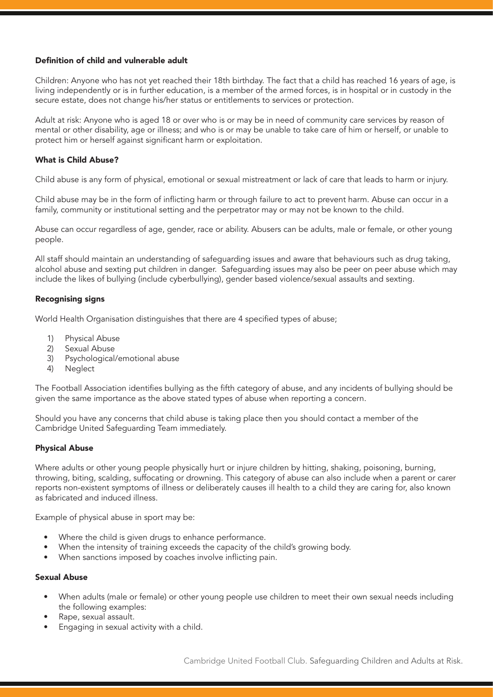## Definition of child and vulnerable adult

Children: Anyone who has not yet reached their 18th birthday. The fact that a child has reached 16 years of age, is living independently or is in further education, is a member of the armed forces, is in hospital or in custody in the secure estate, does not change his/her status or entitlements to services or protection.

Adult at risk: Anyone who is aged 18 or over who is or may be in need of community care services by reason of mental or other disability, age or illness; and who is or may be unable to take care of him or herself, or unable to protect him or herself against significant harm or exploitation.

#### What is Child Abuse?

Child abuse is any form of physical, emotional or sexual mistreatment or lack of care that leads to harm or injury.

Child abuse may be in the form of inflicting harm or through failure to act to prevent harm. Abuse can occur in a family, community or institutional setting and the perpetrator may or may not be known to the child.

Abuse can occur regardless of age, gender, race or ability. Abusers can be adults, male or female, or other young people.

All staff should maintain an understanding of safeguarding issues and aware that behaviours such as drug taking, alcohol abuse and sexting put children in danger. Safeguarding issues may also be peer on peer abuse which may include the likes of bullying (include cyberbullying), gender based violence/sexual assaults and sexting.

#### Recognising signs

World Health Organisation distinguishes that there are 4 specified types of abuse;

- 1) Physical Abuse
- 2) Sexual Abuse<br>3) Psychological
- Psychological/emotional abuse
- 4) Neglect

The Football Association identifies bullying as the fifth category of abuse, and any incidents of bullying should be given the same importance as the above stated types of abuse when reporting a concern.

Should you have any concerns that child abuse is taking place then you should contact a member of the Cambridge United Safeguarding Team immediately.

## Physical Abuse

Where adults or other young people physically hurt or injure children by hitting, shaking, poisoning, burning, throwing, biting, scalding, suffocating or drowning. This category of abuse can also include when a parent or carer reports non-existent symptoms of illness or deliberately causes ill health to a child they are caring for, also known as fabricated and induced illness.

Example of physical abuse in sport may be:

- Where the child is given drugs to enhance performance.
- When the intensity of training exceeds the capacity of the child's growing body.
- When sanctions imposed by coaches involve inflicting pain.

#### Sexual Abuse

- When adults (male or female) or other young people use children to meet their own sexual needs including the following examples:
- Rape, sexual assault.
- Engaging in sexual activity with a child.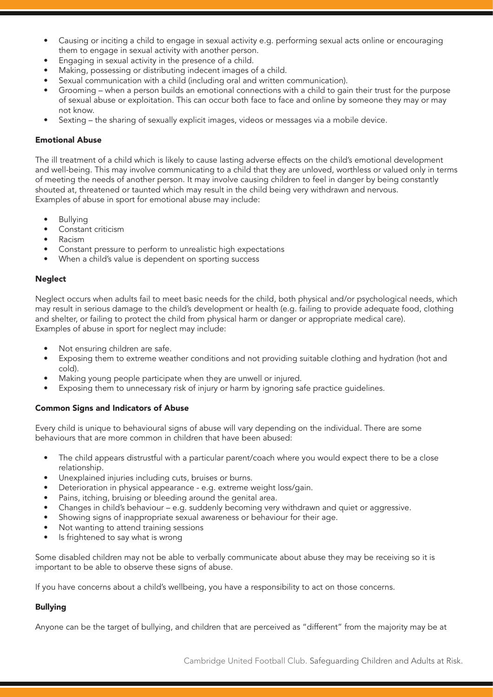- Causing or inciting a child to engage in sexual activity e.g. performing sexual acts online or encouraging them to engage in sexual activity with another person.
- Engaging in sexual activity in the presence of a child.
- Making, possessing or distributing indecent images of a child.
- Sexual communication with a child (including oral and written communication).
- Grooming when a person builds an emotional connections with a child to gain their trust for the purpose of sexual abuse or exploitation. This can occur both face to face and online by someone they may or may not know.
- Sexting the sharing of sexually explicit images, videos or messages via a mobile device.

#### Emotional Abuse

The ill treatment of a child which is likely to cause lasting adverse effects on the child's emotional development and well-being. This may involve communicating to a child that they are unloved, worthless or valued only in terms of meeting the needs of another person. It may involve causing children to feel in danger by being constantly shouted at, threatened or taunted which may result in the child being very withdrawn and nervous. Examples of abuse in sport for emotional abuse may include:

- Bullying
- Constant criticism
- Racism
- Constant pressure to perform to unrealistic high expectations
- When a child's value is dependent on sporting success

#### Neglect

Neglect occurs when adults fail to meet basic needs for the child, both physical and/or psychological needs, which may result in serious damage to the child's development or health (e.g. failing to provide adequate food, clothing and shelter, or failing to protect the child from physical harm or danger or appropriate medical care). Examples of abuse in sport for neglect may include:

- Not ensuring children are safe.
- Exposing them to extreme weather conditions and not providing suitable clothing and hydration (hot and cold).
- Making young people participate when they are unwell or injured.
- Exposing them to unnecessary risk of injury or harm by ignoring safe practice guidelines.

#### Common Signs and Indicators of Abuse

Every child is unique to behavioural signs of abuse will vary depending on the individual. There are some behaviours that are more common in children that have been abused:

- The child appears distrustful with a particular parent/coach where you would expect there to be a close relationship.
- Unexplained injuries including cuts, bruises or burns.
- Deterioration in physical appearance e.g. extreme weight loss/gain.
- Pains, itching, bruising or bleeding around the genital area.
- Changes in child's behaviour e.g. suddenly becoming very withdrawn and quiet or aggressive.
- Showing signs of inappropriate sexual awareness or behaviour for their age.
- Not wanting to attend training sessions
- Is frightened to say what is wrong

Some disabled children may not be able to verbally communicate about abuse they may be receiving so it is important to be able to observe these signs of abuse.

If you have concerns about a child's wellbeing, you have a responsibility to act on those concerns.

## Bullying

Anyone can be the target of bullying, and children that are perceived as "different" from the majority may be at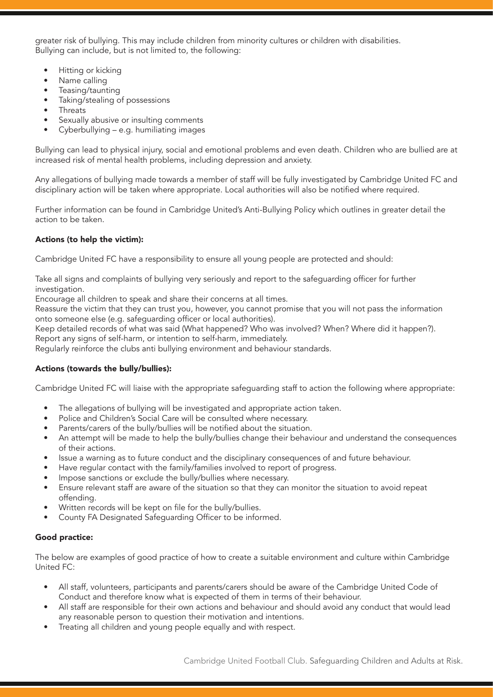greater risk of bullying. This may include children from minority cultures or children with disabilities. Bullying can include, but is not limited to, the following:

- Hitting or kicking
- Name calling
- Teasing/taunting
- Taking/stealing of possessions
- Threats
- Sexually abusive or insulting comments
- Cyberbullying e.g. humiliating images

Bullying can lead to physical injury, social and emotional problems and even death. Children who are bullied are at increased risk of mental health problems, including depression and anxiety.

Any allegations of bullying made towards a member of staff will be fully investigated by Cambridge United FC and disciplinary action will be taken where appropriate. Local authorities will also be notified where required.

Further information can be found in Cambridge United's Anti-Bullying Policy which outlines in greater detail the action to be taken.

## Actions (to help the victim):

Cambridge United FC have a responsibility to ensure all young people are protected and should:

Take all signs and complaints of bullying very seriously and report to the safeguarding officer for further investigation.

Encourage all children to speak and share their concerns at all times.

Reassure the victim that they can trust you, however, you cannot promise that you will not pass the information onto someone else (e.g. safeguarding officer or local authorities).

Keep detailed records of what was said (What happened? Who was involved? When? Where did it happen?). Report any signs of self-harm, or intention to self-harm, immediately.

Regularly reinforce the clubs anti bullying environment and behaviour standards.

## Actions (towards the bully/bullies):

Cambridge United FC will liaise with the appropriate safeguarding staff to action the following where appropriate:

- The allegations of bullying will be investigated and appropriate action taken.
- Police and Children's Social Care will be consulted where necessary.
- Parents/carers of the bully/bullies will be notified about the situation.
- An attempt will be made to help the bully/bullies change their behaviour and understand the consequences of their actions.
- Issue a warning as to future conduct and the disciplinary consequences of and future behaviour.
- Have regular contact with the family/families involved to report of progress.
- Impose sanctions or exclude the bully/bullies where necessary.
- Ensure relevant staff are aware of the situation so that they can monitor the situation to avoid repeat offending.
- Written records will be kept on file for the bully/bullies.
- County FA Designated Safeguarding Officer to be informed.

## Good practice:

The below are examples of good practice of how to create a suitable environment and culture within Cambridge United FC:

- All staff, volunteers, participants and parents/carers should be aware of the Cambridge United Code of Conduct and therefore know what is expected of them in terms of their behaviour.
- All staff are responsible for their own actions and behaviour and should avoid any conduct that would lead any reasonable person to question their motivation and intentions.
- Treating all children and young people equally and with respect.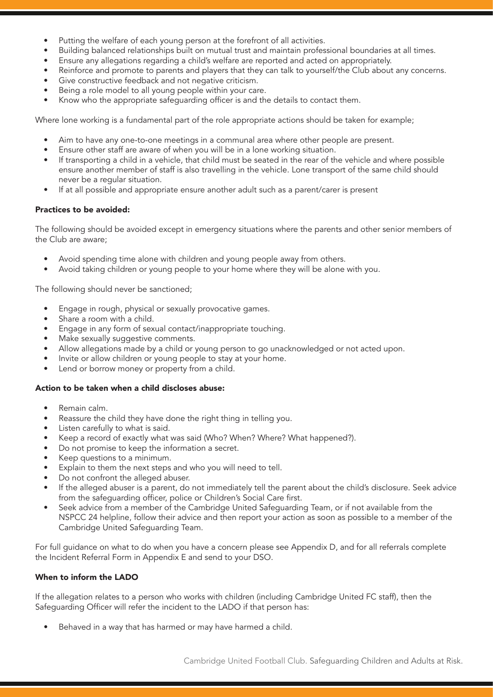- Putting the welfare of each young person at the forefront of all activities.
- Building balanced relationships built on mutual trust and maintain professional boundaries at all times.
- Ensure any allegations regarding a child's welfare are reported and acted on appropriately.
- Reinforce and promote to parents and players that they can talk to yourself/the Club about any concerns.
- Give constructive feedback and not negative criticism.
- Being a role model to all young people within your care.
- Know who the appropriate safeguarding officer is and the details to contact them.

Where lone working is a fundamental part of the role appropriate actions should be taken for example;

- Aim to have any one-to-one meetings in a communal area where other people are present.
- Ensure other staff are aware of when you will be in a lone working situation.
- If transporting a child in a vehicle, that child must be seated in the rear of the vehicle and where possible ensure another member of staff is also travelling in the vehicle. Lone transport of the same child should never be a regular situation.
- If at all possible and appropriate ensure another adult such as a parent/carer is present

## Practices to be avoided:

The following should be avoided except in emergency situations where the parents and other senior members of the Club are aware;

- Avoid spending time alone with children and young people away from others.
- Avoid taking children or young people to your home where they will be alone with you.

The following should never be sanctioned;

- Engage in rough, physical or sexually provocative games.
- Share a room with a child.
- Engage in any form of sexual contact/inappropriate touching.
- Make sexually suggestive comments.
- Allow allegations made by a child or young person to go unacknowledged or not acted upon.
- Invite or allow children or young people to stay at your home.
- Lend or borrow money or property from a child.

## Action to be taken when a child discloses abuse:

- Remain calm.
- Reassure the child they have done the right thing in telling you.
- Listen carefully to what is said.
- Keep a record of exactly what was said (Who? When? Where? What happened?).
- Do not promise to keep the information a secret.
- Keep questions to a minimum.
- Explain to them the next steps and who you will need to tell.
- Do not confront the alleged abuser.
- If the alleged abuser is a parent, do not immediately tell the parent about the child's disclosure. Seek advice from the safeguarding officer, police or Children's Social Care first.
- Seek advice from a member of the Cambridge United Safeguarding Team, or if not available from the NSPCC 24 helpline, follow their advice and then report your action as soon as possible to a member of the Cambridge United Safeguarding Team.

For full guidance on what to do when you have a concern please see Appendix D, and for all referrals complete the Incident Referral Form in Appendix E and send to your DSO.

## When to inform the LADO

If the allegation relates to a person who works with children (including Cambridge United FC staff), then the Safeguarding Officer will refer the incident to the LADO if that person has:

Behaved in a way that has harmed or may have harmed a child.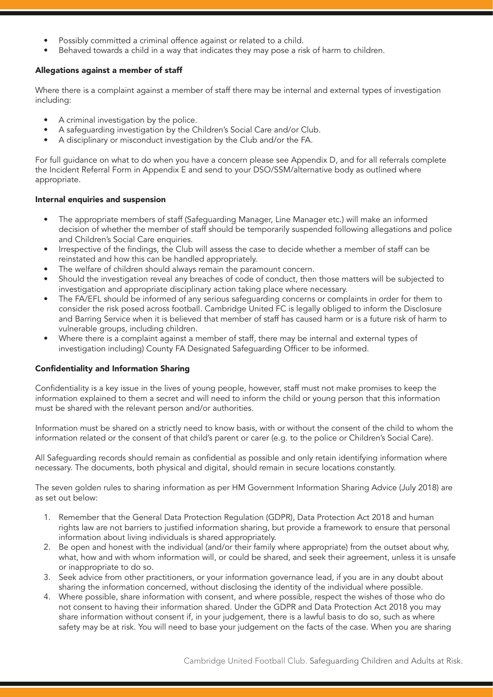- Possibly committed a criminal offence against or related to a child.
- Behaved towards a child in a way that indicates they may pose a risk of harm to children.

## Allegations against a member of staff

Where there is a complaint against a member of staff there may be internal and external types of investigation including:

- A criminal investigation by the police.
- A safeguarding investigation by the Children's Social Care and/or Club.
- A disciplinary or misconduct investigation by the Club and/or the FA.

For full guidance on what to do when you have a concern please see Appendix D, and for all referrals complete the Incident Referral Form in Appendix E and send to your DSO/SSM/alternative body as outlined where appropriate.

## Internal enquiries and suspension

- The appropriate members of staff (Safeguarding Manager, Line Manager etc.) will make an informed decision of whether the member of staff should be temporarily suspended following allegations and police and Children's Social Care enquiries.
- Irrespective of the findings, the Club will assess the case to decide whether a member of staff can be reinstated and how this can be handled appropriately.
- The welfare of children should always remain the paramount concern.
- Should the investigation reveal any breaches of code of conduct, then those matters will be subjected to investigation and appropriate disciplinary action taking place where necessary.
- The FA/EFL should be informed of any serious safeguarding concerns or complaints in order for them to consider the risk posed across football. Cambridge United FC is legally obliged to inform the Disclosure and Barring Service when it is believed that member of staff has caused harm or is a future risk of harm to vulnerable groups, including children.
- Where there is a complaint against a member of staff, there may be internal and external types of investigation including) County FA Designated Safeguarding Officer to be informed.

## Confidentiality and Information Sharing

Confidentiality is a key issue in the lives of young people, however, staff must not make promises to keep the information explained to them a secret and will need to inform the child or young person that this information must be shared with the relevant person and/or authorities.

Information must be shared on a strictly need to know basis, with or without the consent of the child to whom the information related or the consent of that child's parent or carer (e.g. to the police or Children's Social Care).

All Safeguarding records should remain as confidential as possible and only retain identifying information where necessary. The documents, both physical and digital, should remain in secure locations constantly.

The seven golden rules to sharing information as per HM Government Information Sharing Advice (July 2018) are as set out below:

- 1. Remember that the General Data Protection Regulation (GDPR), Data Protection Act 2018 and human rights law are not barriers to justified information sharing, but provide a framework to ensure that personal information about living individuals is shared appropriately.
- 2. Be open and honest with the individual (and/or their family where appropriate) from the outset about why, what, how and with whom information will, or could be shared, and seek their agreement, unless it is unsafe or inappropriate to do so.
- 3. Seek advice from other practitioners, or your information governance lead, if you are in any doubt about sharing the information concerned, without disclosing the identity of the individual where possible.
- 4. Where possible, share information with consent, and where possible, respect the wishes of those who do not consent to having their information shared. Under the GDPR and Data Protection Act 2018 you may share information without consent if, in your judgement, there is a lawful basis to do so, such as where safety may be at risk. You will need to base your judgement on the facts of the case. When you are sharing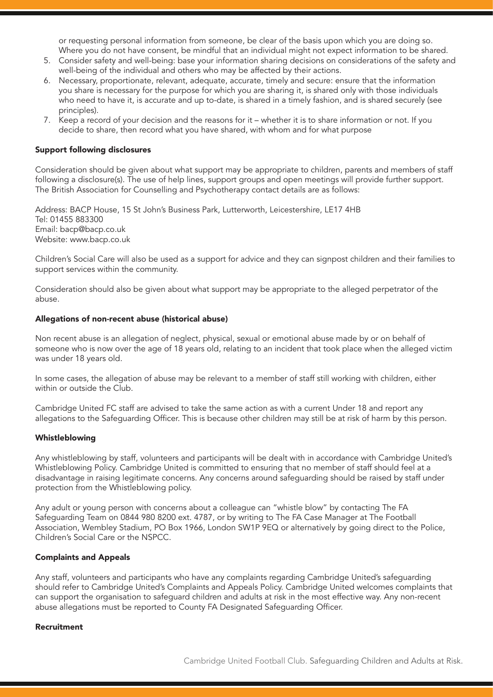or requesting personal information from someone, be clear of the basis upon which you are doing so. Where you do not have consent, be mindful that an individual might not expect information to be shared.

- 5. Consider safety and well-being: base your information sharing decisions on considerations of the safety and well-being of the individual and others who may be affected by their actions.
- 6. Necessary, proportionate, relevant, adequate, accurate, timely and secure: ensure that the information you share is necessary for the purpose for which you are sharing it, is shared only with those individuals who need to have it, is accurate and up to-date, is shared in a timely fashion, and is shared securely (see principles).
- 7. Keep a record of your decision and the reasons for it whether it is to share information or not. If you decide to share, then record what you have shared, with whom and for what purpose

#### Support following disclosures

Consideration should be given about what support may be appropriate to children, parents and members of staff following a disclosure(s). The use of help lines, support groups and open meetings will provide further support. The British Association for Counselling and Psychotherapy contact details are as follows:

Address: BACP House, 15 St John's Business Park, Lutterworth, Leicestershire, LE17 4HB Tel: 01455 883300 Email: bacp@bacp.co.uk Website: www.bacp.co.uk

Children's Social Care will also be used as a support for advice and they can signpost children and their families to support services within the community.

Consideration should also be given about what support may be appropriate to the alleged perpetrator of the abuse.

#### Allegations of non-recent abuse (historical abuse)

Non recent abuse is an allegation of neglect, physical, sexual or emotional abuse made by or on behalf of someone who is now over the age of 18 years old, relating to an incident that took place when the alleged victim was under 18 years old.

In some cases, the allegation of abuse may be relevant to a member of staff still working with children, either within or outside the Club.

Cambridge United FC staff are advised to take the same action as with a current Under 18 and report any allegations to the Safeguarding Officer. This is because other children may still be at risk of harm by this person.

#### Whistleblowing

Any whistleblowing by staff, volunteers and participants will be dealt with in accordance with Cambridge United's Whistleblowing Policy. Cambridge United is committed to ensuring that no member of staff should feel at a disadvantage in raising legitimate concerns. Any concerns around safeguarding should be raised by staff under protection from the Whistleblowing policy.

Any adult or young person with concerns about a colleague can "whistle blow" by contacting The FA Safeguarding Team on 0844 980 8200 ext. 4787, or by writing to The FA Case Manager at The Football Association, Wembley Stadium, PO Box 1966, London SW1P 9EQ or alternatively by going direct to the Police, Children's Social Care or the NSPCC.

#### Complaints and Appeals

Any staff, volunteers and participants who have any complaints regarding Cambridge United's safeguarding should refer to Cambridge United's Complaints and Appeals Policy. Cambridge United welcomes complaints that can support the organisation to safeguard children and adults at risk in the most effective way. Any non-recent abuse allegations must be reported to County FA Designated Safeguarding Officer.

#### Recruitment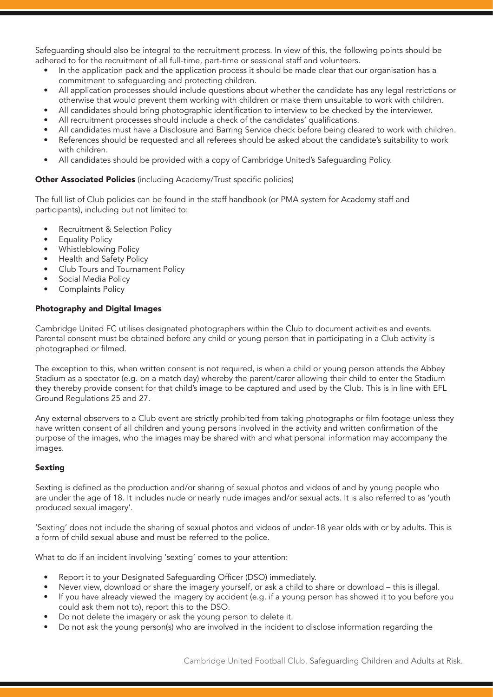Safeguarding should also be integral to the recruitment process. In view of this, the following points should be adhered to for the recruitment of all full-time, part-time or sessional staff and volunteers.

- In the application pack and the application process it should be made clear that our organisation has a commitment to safeguarding and protecting children.
- All application processes should include questions about whether the candidate has any legal restrictions or otherwise that would prevent them working with children or make them unsuitable to work with children.
- All candidates should bring photographic identification to interview to be checked by the interviewer.
- All recruitment processes should include a check of the candidates' qualifications.
- All candidates must have a Disclosure and Barring Service check before being cleared to work with children.
- References should be requested and all referees should be asked about the candidate's suitability to work with children.
- All candidates should be provided with a copy of Cambridge United's Safeguarding Policy.

## Other Associated Policies (including Academy/Trust specific policies)

The full list of Club policies can be found in the staff handbook (or PMA system for Academy staff and participants), including but not limited to:

- Recruitment & Selection Policy
- **Equality Policy**
- Whistleblowing Policy
- Health and Safety Policy
- Club Tours and Tournament Policy
- Social Media Policy
- Complaints Policy

## Photography and Digital Images

Cambridge United FC utilises designated photographers within the Club to document activities and events. Parental consent must be obtained before any child or young person that in participating in a Club activity is photographed or filmed.

The exception to this, when written consent is not required, is when a child or young person attends the Abbey Stadium as a spectator (e.g. on a match day) whereby the parent/carer allowing their child to enter the Stadium they thereby provide consent for that child's image to be captured and used by the Club. This is in line with EFL Ground Regulations 25 and 27.

Any external observers to a Club event are strictly prohibited from taking photographs or film footage unless they have written consent of all children and young persons involved in the activity and written confirmation of the purpose of the images, who the images may be shared with and what personal information may accompany the images.

## Sexting

Sexting is defined as the production and/or sharing of sexual photos and videos of and by young people who are under the age of 18. It includes nude or nearly nude images and/or sexual acts. It is also referred to as 'youth produced sexual imagery'.

'Sexting' does not include the sharing of sexual photos and videos of under-18 year olds with or by adults. This is a form of child sexual abuse and must be referred to the police.

What to do if an incident involving 'sexting' comes to your attention:

- Report it to your Designated Safeguarding Officer (DSO) immediately.
- Never view, download or share the imagery yourself, or ask a child to share or download this is illegal.
- If you have already viewed the imagery by accident (e.g. if a young person has showed it to you before you could ask them not to), report this to the DSO.
- Do not delete the imagery or ask the young person to delete it.
- Do not ask the young person(s) who are involved in the incident to disclose information regarding the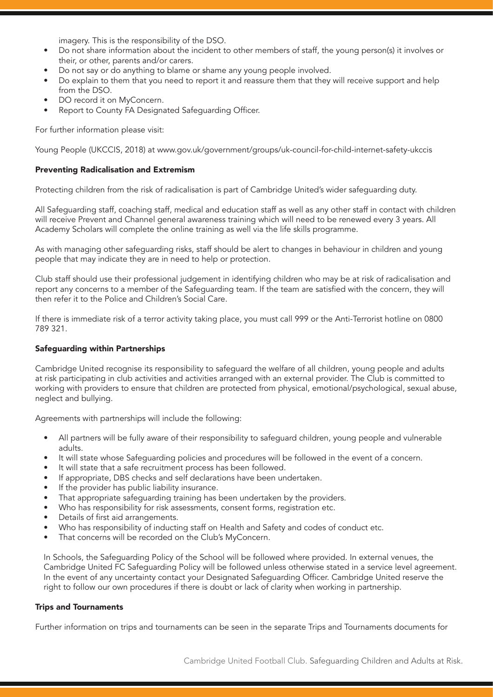imagery. This is the responsibility of the DSO.

- Do not share information about the incident to other members of staff, the young person(s) it involves or their, or other, parents and/or carers.
- Do not say or do anything to blame or shame any young people involved.
- Do explain to them that you need to report it and reassure them that they will receive support and help from the DSO.
- DO record it on MyConcern.
- Report to County FA Designated Safeguarding Officer.

For further information please visit:

Young People (UKCCIS, 2018) at www.gov.uk/government/groups/uk-council-for-child-internet-safety-ukccis

#### Preventing Radicalisation and Extremism

Protecting children from the risk of radicalisation is part of Cambridge United's wider safeguarding duty.

All Safeguarding staff, coaching staff, medical and education staff as well as any other staff in contact with children will receive Prevent and Channel general awareness training which will need to be renewed every 3 years. All Academy Scholars will complete the online training as well via the life skills programme.

As with managing other safeguarding risks, staff should be alert to changes in behaviour in children and young people that may indicate they are in need to help or protection.

Club staff should use their professional judgement in identifying children who may be at risk of radicalisation and report any concerns to a member of the Safeguarding team. If the team are satisfied with the concern, they will then refer it to the Police and Children's Social Care.

If there is immediate risk of a terror activity taking place, you must call 999 or the Anti-Terrorist hotline on 0800 789 321.

#### Safeguarding within Partnerships

Cambridge United recognise its responsibility to safeguard the welfare of all children, young people and adults at risk participating in club activities and activities arranged with an external provider. The Club is committed to working with providers to ensure that children are protected from physical, emotional/psychological, sexual abuse, neglect and bullying.

Agreements with partnerships will include the following:

- All partners will be fully aware of their responsibility to safeguard children, young people and vulnerable adults.
- It will state whose Safeguarding policies and procedures will be followed in the event of a concern.
- It will state that a safe recruitment process has been followed.
- If appropriate, DBS checks and self declarations have been undertaken.
- If the provider has public liability insurance.
- That appropriate safeguarding training has been undertaken by the providers.
- Who has responsibility for risk assessments, consent forms, registration etc.
- Details of first aid arrangements.
- Who has responsibility of inducting staff on Health and Safety and codes of conduct etc.
- That concerns will be recorded on the Club's MyConcern.

In Schools, the Safeguarding Policy of the School will be followed where provided. In external venues, the Cambridge United FC Safeguarding Policy will be followed unless otherwise stated in a service level agreement. In the event of any uncertainty contact your Designated Safeguarding Officer. Cambridge United reserve the right to follow our own procedures if there is doubt or lack of clarity when working in partnership.

#### Trips and Tournaments

Further information on trips and tournaments can be seen in the separate Trips and Tournaments documents for

Cambridge United Football Club. Safeguarding Children and Adults at Risk.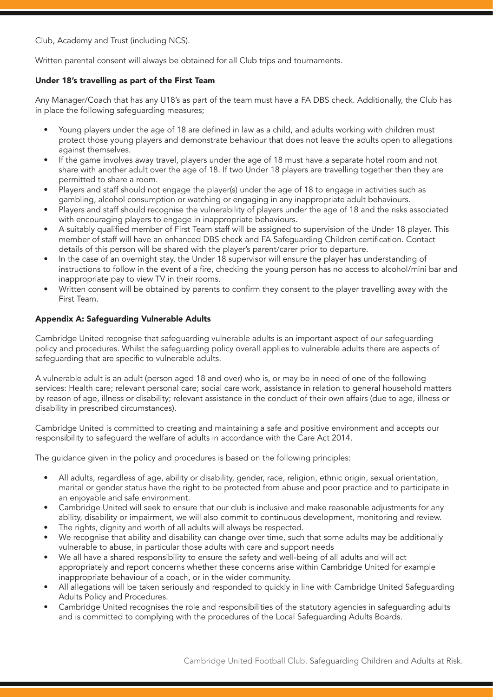Club, Academy and Trust (including NCS).

Written parental consent will always be obtained for all Club trips and tournaments.

## Under 18's travelling as part of the First Team

Any Manager/Coach that has any U18's as part of the team must have a FA DBS check. Additionally, the Club has in place the following safeguarding measures;

- Young players under the age of 18 are defined in law as a child, and adults working with children must protect those young players and demonstrate behaviour that does not leave the adults open to allegations against themselves.
- If the game involves away travel, players under the age of 18 must have a separate hotel room and not share with another adult over the age of 18. If two Under 18 players are travelling together then they are permitted to share a room.
- Players and staff should not engage the player(s) under the age of 18 to engage in activities such as gambling, alcohol consumption or watching or engaging in any inappropriate adult behaviours.
- Players and staff should recognise the vulnerability of players under the age of 18 and the risks associated with encouraging players to engage in inappropriate behaviours.
- A suitably qualified member of First Team staff will be assigned to supervision of the Under 18 player. This member of staff will have an enhanced DBS check and FA Safeguarding Children certification. Contact details of this person will be shared with the player's parent/carer prior to departure.
- In the case of an overnight stay, the Under 18 supervisor will ensure the player has understanding of instructions to follow in the event of a fire, checking the young person has no access to alcohol/mini bar and inappropriate pay to view TV in their rooms.
- Written consent will be obtained by parents to confirm they consent to the player travelling away with the First Team.

## Appendix A: Safeguarding Vulnerable Adults

Cambridge United recognise that safeguarding vulnerable adults is an important aspect of our safeguarding policy and procedures. Whilst the safeguarding policy overall applies to vulnerable adults there are aspects of safequarding that are specific to vulnerable adults.

A vulnerable adult is an adult (person aged 18 and over) who is, or may be in need of one of the following services: Health care; relevant personal care; social care work, assistance in relation to general household matters by reason of age, illness or disability; relevant assistance in the conduct of their own affairs (due to age, illness or disability in prescribed circumstances).

Cambridge United is committed to creating and maintaining a safe and positive environment and accepts our responsibility to safeguard the welfare of adults in accordance with the Care Act 2014.

The guidance given in the policy and procedures is based on the following principles:

- All adults, regardless of age, ability or disability, gender, race, religion, ethnic origin, sexual orientation, marital or gender status have the right to be protected from abuse and poor practice and to participate in an enjoyable and safe environment.
- Cambridge United will seek to ensure that our club is inclusive and make reasonable adjustments for any ability, disability or impairment, we will also commit to continuous development, monitoring and review.
- The rights, dignity and worth of all adults will always be respected.
- We recognise that ability and disability can change over time, such that some adults may be additionally vulnerable to abuse, in particular those adults with care and support needs
- We all have a shared responsibility to ensure the safety and well-being of all adults and will act appropriately and report concerns whether these concerns arise within Cambridge United for example inappropriate behaviour of a coach, or in the wider community.
- All allegations will be taken seriously and responded to quickly in line with Cambridge United Safeguarding Adults Policy and Procedures.
- Cambridge United recognises the role and responsibilities of the statutory agencies in safeguarding adults and is committed to complying with the procedures of the Local Safeguarding Adults Boards.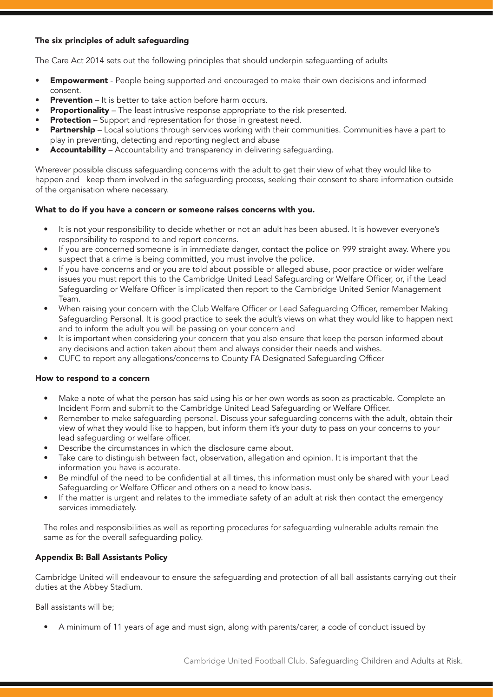## The six principles of adult safeguarding

The Care Act 2014 sets out the following principles that should underpin safeguarding of adults

- Empowerment People being supported and encouraged to make their own decisions and informed consent.
- **Prevention** It is better to take action before harm occurs.
- **Proportionality** The least intrusive response appropriate to the risk presented.
- **Protection** Support and representation for those in greatest need.
- **Partnership** Local solutions through services working with their communities. Communities have a part to play in preventing, detecting and reporting neglect and abuse
- Accountability Accountability and transparency in delivering safeguarding.

Wherever possible discuss safeguarding concerns with the adult to get their view of what they would like to happen and keep them involved in the safeguarding process, seeking their consent to share information outside of the organisation where necessary.

## What to do if you have a concern or someone raises concerns with you.

- It is not your responsibility to decide whether or not an adult has been abused. It is however everyone's responsibility to respond to and report concerns.
- If you are concerned someone is in immediate danger, contact the police on 999 straight away. Where you suspect that a crime is being committed, you must involve the police.
- If you have concerns and or you are told about possible or alleged abuse, poor practice or wider welfare issues you must report this to the Cambridge United Lead Safeguarding or Welfare Officer, or, if the Lead Safeguarding or Welfare Officer is implicated then report to the Cambridge United Senior Management Team.
- When raising your concern with the Club Welfare Officer or Lead Safeguarding Officer, remember Making Safeguarding Personal. It is good practice to seek the adult's views on what they would like to happen next and to inform the adult you will be passing on your concern and
- It is important when considering your concern that you also ensure that keep the person informed about any decisions and action taken about them and always consider their needs and wishes.
- CUFC to report any allegations/concerns to County FA Designated Safeguarding Officer

## How to respond to a concern

- Make a note of what the person has said using his or her own words as soon as practicable. Complete an Incident Form and submit to the Cambridge United Lead Safeguarding or Welfare Officer.
- Remember to make safeguarding personal. Discuss your safeguarding concerns with the adult, obtain their view of what they would like to happen, but inform them it's your duty to pass on your concerns to your lead safeguarding or welfare officer.
- Describe the circumstances in which the disclosure came about.
- Take care to distinguish between fact, observation, allegation and opinion. It is important that the information you have is accurate.
- Be mindful of the need to be confidential at all times, this information must only be shared with your Lead Safeguarding or Welfare Officer and others on a need to know basis.
- If the matter is urgent and relates to the immediate safety of an adult at risk then contact the emergency services immediately.

The roles and responsibilities as well as reporting procedures for safeguarding vulnerable adults remain the same as for the overall safeguarding policy.

## Appendix B: Ball Assistants Policy

Cambridge United will endeavour to ensure the safeguarding and protection of all ball assistants carrying out their duties at the Abbey Stadium.

Ball assistants will be;

• A minimum of 11 years of age and must sign, along with parents/carer, a code of conduct issued by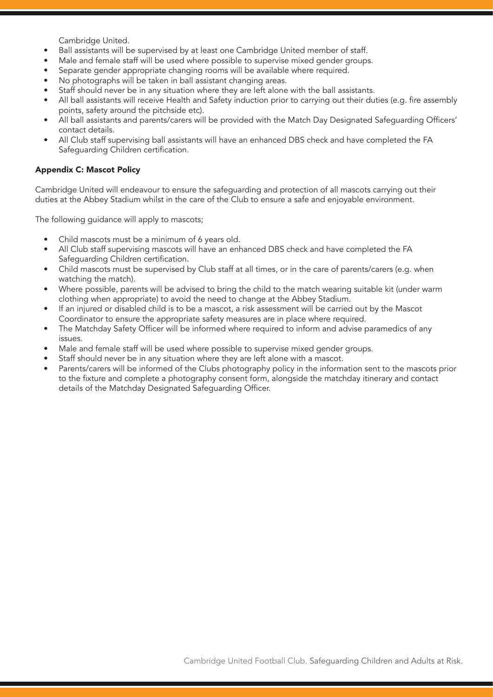Cambridge United.

- Ball assistants will be supervised by at least one Cambridge United member of staff.
- Male and female staff will be used where possible to supervise mixed gender groups.
- Separate gender appropriate changing rooms will be available where required.
- No photographs will be taken in ball assistant changing areas.
- Staff should never be in any situation where they are left alone with the ball assistants.
- All ball assistants will receive Health and Safety induction prior to carrying out their duties (e.g. fire assembly points, safety around the pitchside etc).
- All ball assistants and parents/carers will be provided with the Match Day Designated Safeguarding Officers' contact details.
- All Club staff supervising ball assistants will have an enhanced DBS check and have completed the FA Safeguarding Children certification.

#### Appendix C: Mascot Policy

Cambridge United will endeavour to ensure the safeguarding and protection of all mascots carrying out their duties at the Abbey Stadium whilst in the care of the Club to ensure a safe and enjoyable environment.

The following guidance will apply to mascots;

- Child mascots must be a minimum of 6 years old.
- All Club staff supervising mascots will have an enhanced DBS check and have completed the FA Safeguarding Children certification.
- Child mascots must be supervised by Club staff at all times, or in the care of parents/carers (e.g. when watching the match).
- Where possible, parents will be advised to bring the child to the match wearing suitable kit (under warm clothing when appropriate) to avoid the need to change at the Abbey Stadium.
- If an injured or disabled child is to be a mascot, a risk assessment will be carried out by the Mascot Coordinator to ensure the appropriate safety measures are in place where required.
- The Matchday Safety Officer will be informed where required to inform and advise paramedics of any issues.
- Male and female staff will be used where possible to supervise mixed gender groups.
- Staff should never be in any situation where they are left alone with a mascot.
- Parents/carers will be informed of the Clubs photography policy in the information sent to the mascots prior to the fixture and complete a photography consent form, alongside the matchday itinerary and contact details of the Matchday Designated Safeguarding Officer.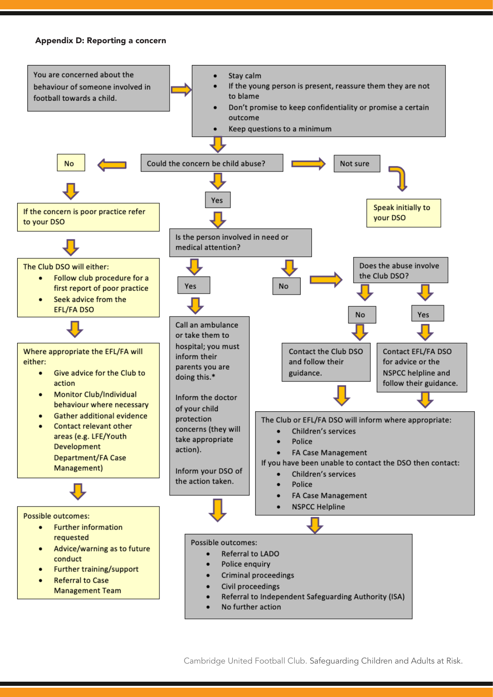#### Appendix D: Reporting a concern



Cambridge United Football Club. Safeguarding Children and Adults at Risk.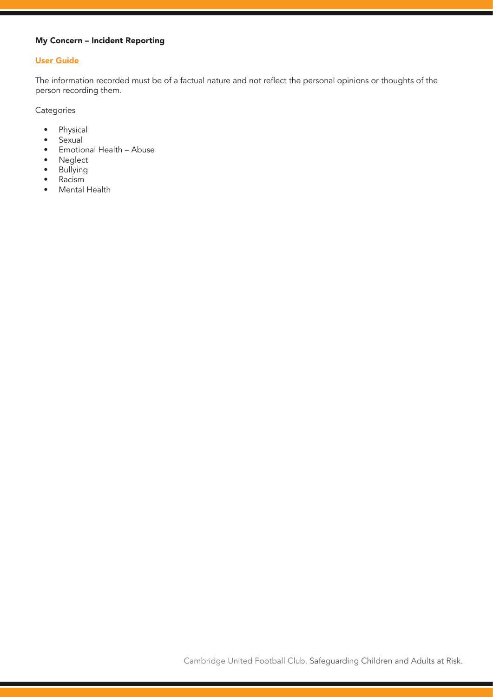## My Concern – Incident Reporting

## User Guide

The information recorded must be of a factual nature and not reflect the personal opinions or thoughts of the person recording them.

Categories

- Physical
- Sexual
- Emotional Health Abuse
- Neglect
- Bullying
- Racism
- Mental Health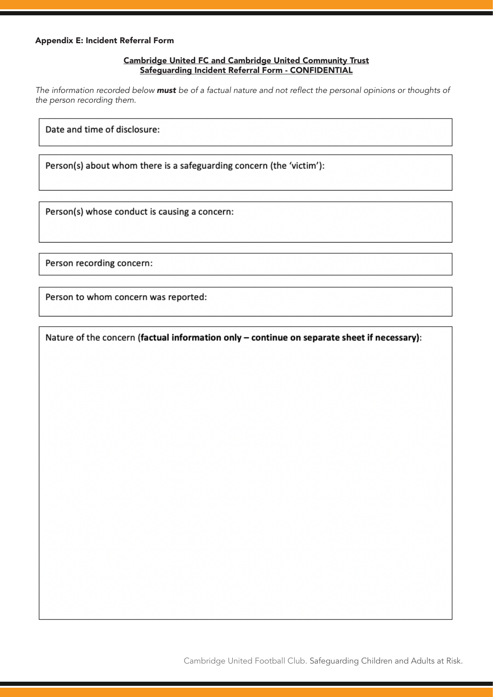## Cambridge United FC and Cambridge United Community Trust Safeguarding Incident Referral Form - CONFIDENTIAL

*The information recorded below must* be of a factual nature and not reflect the personal opinions or thoughts of *the person recording them.*

Date and time of disclosure:

Person(s) about whom there is a safeguarding concern (the 'victim'):

Person(s) whose conduct is causing a concern:

Person recording concern:

Person to whom concern was reported:

Nature of the concern (factual information only - continue on separate sheet if necessary):

Cambridge United Football Club. Safeguarding Children and Adults at Risk.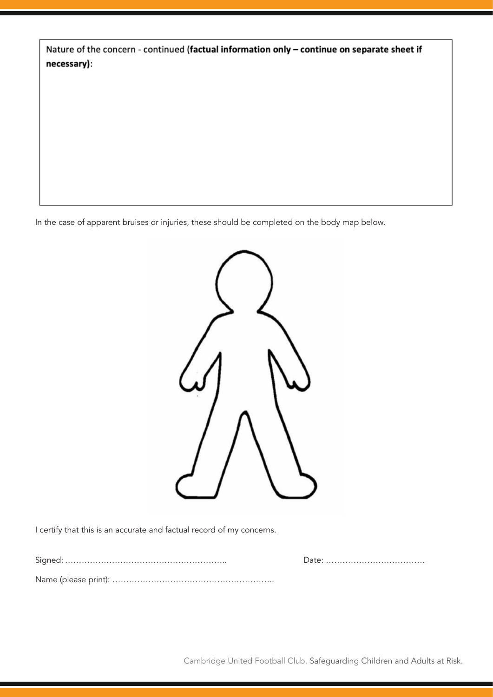|             | Nature of the concern - continued (factual information only - continue on separate sheet if |
|-------------|---------------------------------------------------------------------------------------------|
| necessary): |                                                                                             |

In the case of apparent bruises or injuries, these should be completed on the body map below.



I certify that this is an accurate and factual record of my concerns.

Signed: ………………………………………………….. Date: ………………………………

Name (please print): …………………………………………………..